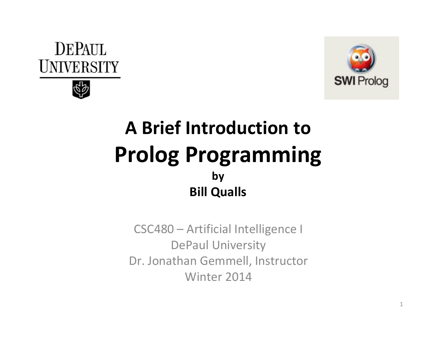



#### A Brief Introduction toProlog Programmingby Bill Qualls

CSC480 – Artificial Intelligence I DePaul University Dr. Jonathan Gemmell, InstructorWinter 2014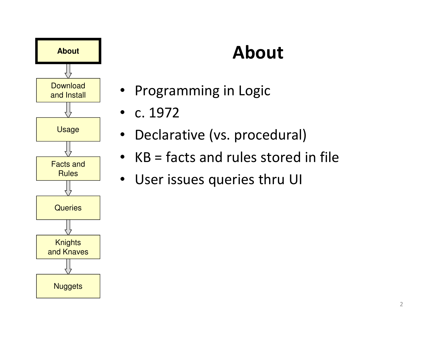

# About

- Programming in Logic
- c. 1972
- Declarative (vs. procedural)
- KB = facts and rules stored in file
- User issues queries thru UI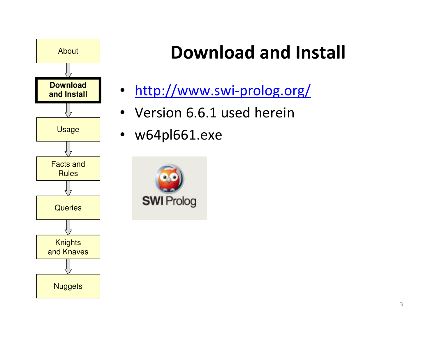

# Download and Install

- http://www.swi-prolog.org/
- Version 6.6.1 used herein
- w64pl661.exe

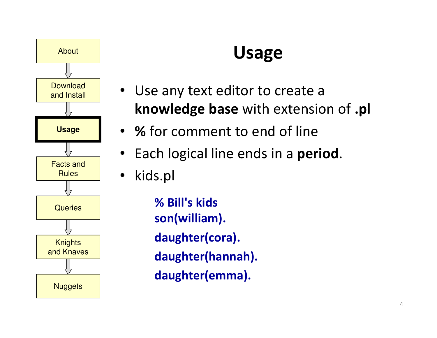

#### Usage

- Use any text editor to create a **knowledge base** with extension of **.pl**
- % for comment to end of line
- Each logical line ends in a **period**.
- •kids.pl

% Bill's kidsson(william).daughter(cora).daughter(hannah).daughter(emma).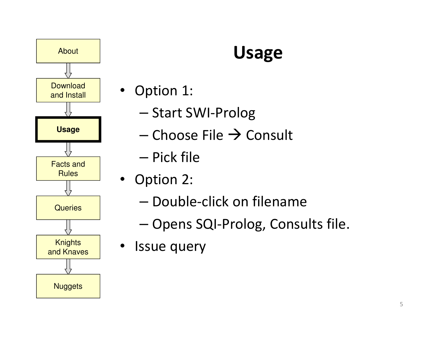

# Usage

- Option 1:
	- –— Start SWI-Prolog
	- – $-$  Choose File  $\rightarrow$  Consult
	- –— Pick file
- Option 2:
	- – $-$  Double-click on filename
	- –— Opens SQI-Prolog, Consults file.
- Issue query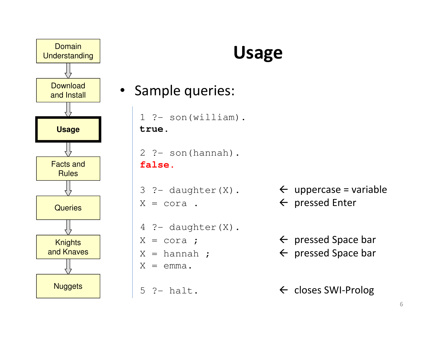

#### Usage

• Sample queries:

```
1 ?- son(william).
true.
```

```
2 ?- son(hannah).
false.
```

```
X = cora.
        \leftarrow .
```

```
4 ?- daughter(X).
X = cora ;
           \mathcal{L} , and \mathcal{L}X = hannah ;
             \mathcal{L} ;
X = emma.
```
5 ?- halt.

- 3 ?- daughter(X). uppercase = variable  $\leftarrow$  pressed Enter
	- $\leftarrow$  pressed Space bar
	- $\leftarrow$  pressed Space bar

```
\leftarrow closes SWI-Prolog
```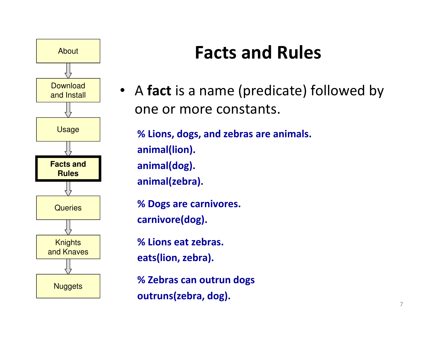

#### Facts and Rules

• A fact is a name (predicate) followed by one or more constants.

% Lions, dogs, and zebras are animals.animal(lion).animal(dog).animal(zebra).

% Dogs are carnivores.carnivore(dog).

% Lions eat zebras.eats(lion, zebra).

% Zebras can outrun dogsoutruns(zebra, dog).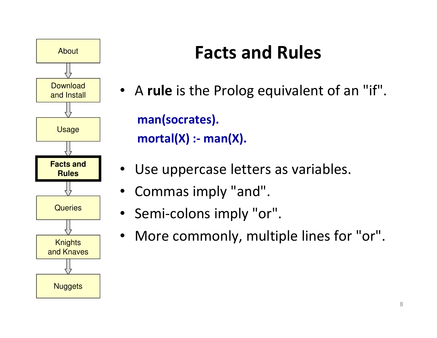

#### Facts and Rules

- A rule is the Prolog equivalent of an "if". man(socrates). $mortal(X)$  :- man $(X)$ .
- Use uppercase letters as variables.
- Commas imply "and".
- Semi-colons imply "or".
- More commonly, multiple lines for "or".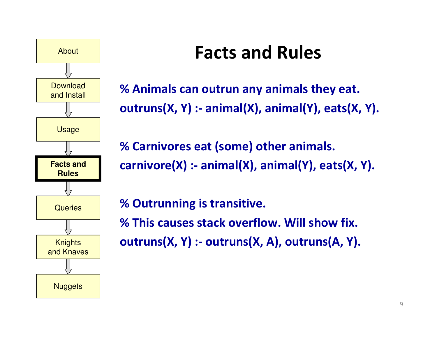

#### Facts and Rules

% Animals can outrun any animals they eat.outruns(X, Y) :- animal(X), animal(Y), eats(X, Y).

% Carnivores eat (some) other animals.carnivore(X) :- animal(X), animal(Y), eats(X, Y).

% Outrunning is transitive.% This causes stack overflow. Will show fix.outruns(X, Y) :- outruns(X, A), outruns(A, Y).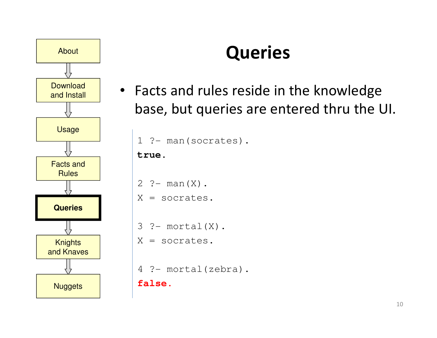

# Queries

• Facts and rules reside in the knowledge base, but queries are entered thru the UI.

```
1 ?- man(socrates).
```
**true.**

```
2 ?- man(X).
```

```
X = socrates.
```

```
3 ?- mortal(X).
```

```
X = socrates.
```

```
4 ?- mortal(zebra).
```
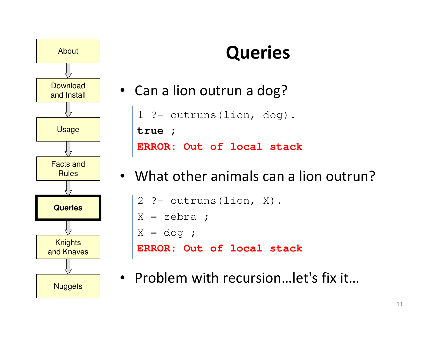

# **Queries**

- Can a lion outrun a dog?1 ?- outruns(lion, dog). **true ;ERROR: Out of local stack**
- What other animals can a lion outrun?

```
2 ?- outruns(lion, X).
X = zebra ;
X = dog ;
ERROR: Out of local stack
```
• Problem with recursion…let's fix it…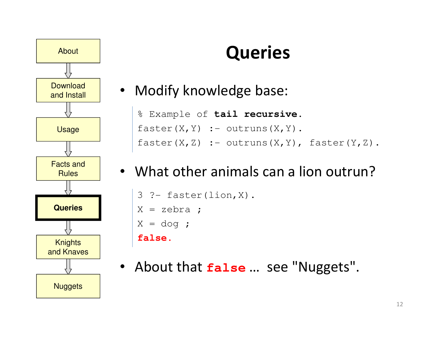

# **Queries**

• Modify knowledge base:

% Example of **tail recursive**. $faster(X, Y)$  :- outruns(X, Y). faster(X,Z) :- outruns(X,Y), faster(Y,Z).

#### • What other animals can a lion outrun?

```
3 ?- faster(lion,X).
X = zebra ;X = dog ;
false.
```
• About that **false** … see "Nuggets".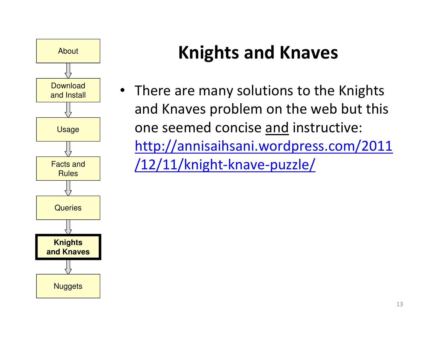

• There are many solutions to the Knights and Knaves problem on the web but this one seemed concise and instructive: http://annisaihsani.wordpress.com/2011/12/11/knight-knave-puzzle/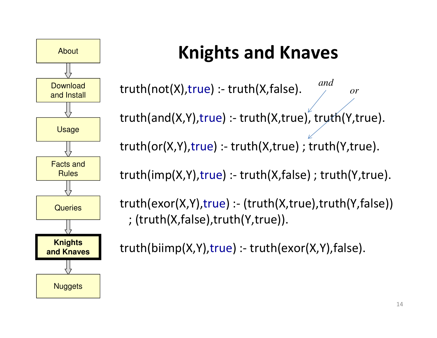

truth(not(X),true) :- truth(X,false). truth(and(X,Y),true) :- truth(X,true), truth(Y,true). *andor*

truth(or(X,Y),true) :- truth(X,true) ; truth(Y,true).

truth(imp(X,Y),true) :- truth(X,false) ; truth(Y,true).

truth(exor(X,Y),true) :- (truth(X,true),truth(Y,false)) ; (truth(X,false),truth(Y,true)).

truth(biimp(X,Y),true) :- truth(exor(X,Y),false).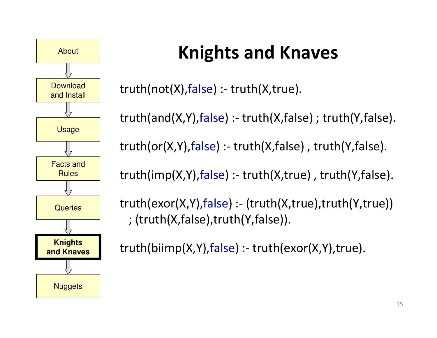

truth(not(X),false) :- truth(X,true).

truth(and(X,Y),false) :- truth(X,false) ; truth(Y,false).

truth(or(X,Y),false) :- truth(X,false) , truth(Y,false).

truth(imp(X,Y),false) :- truth(X,true) , truth(Y,false).

truth(exor(X,Y),false) :- (truth(X,true),truth(Y,true)) ; (truth(X,false),truth(Y,false)).

truth(biimp(X,Y),false) :- truth(exor(X,Y),true).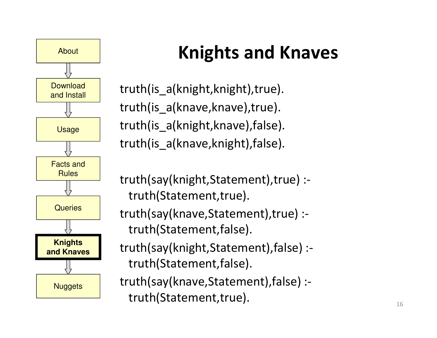

truth(is\_a(knight,knight),true). truth(is a(knave, knave), true). truth(is\_a(knight,knave),false). truth(is\_a(knave,knight),false).

truth(say(knight,Statement),true) :truth(Statement,true).

truth(say(knave,Statement),true) :truth(Statement,false).

truth(say(knight,Statement),false) :truth(Statement,false).

truth(say(knave,Statement),false) :truth(Statement,true).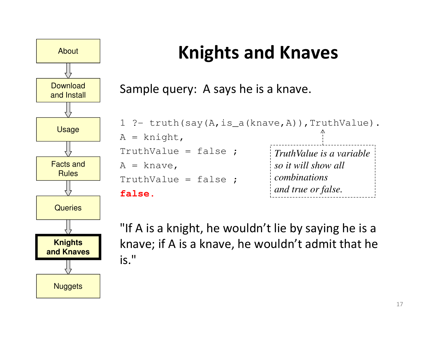

Sample query: A says he is a knave.

1 ?- truth(say(A,is\_a(knave,A)),TruthValue).  $A =$  knight, TruthValue = false ; $A =$ knave, TruthValue = false ;**false.***TruthValue is a variableso it will show all combinationsand true or false.*

"If A is a knight, he wouldn't lie by saying he is a knave; if A is a knave, he wouldn't admit that he is."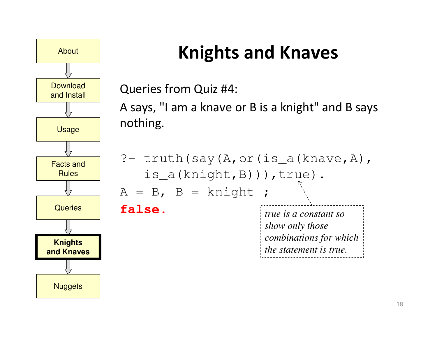

Queries from Quiz #4:

A says, "I am a knave or B is a knight" and B says nothing.

?- truth(say(A,or(is\_a(knave,A), is\_a(knight,B))),true). $A = B$ ,  $B = knight$ ; **false.***true is a constant soshow only those combinations for whichthe statement is true.*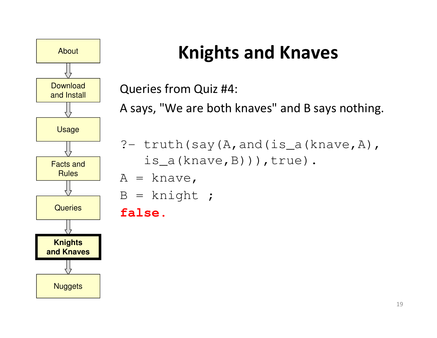

Queries from Quiz #4:

A says, "We are both knaves" and B says nothing.

```
?- truth(say(A,and(is_a(knave,A),
   is_a(knave,B))),true).
```
- $A =$  knave,
- $B =$  knight;

#### **false.**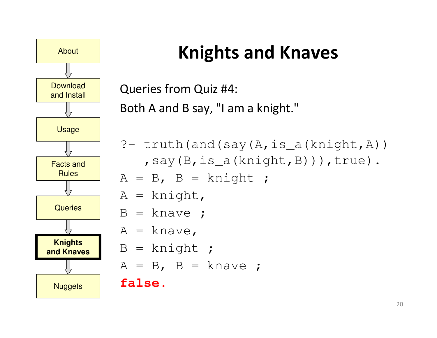

```
Queries from Quiz #4:Both A and B say, "I am a knight."
```
?-  $truth(and(say(A, is_a(knight, A)))$ ,say(B,is\_a(knight,B))),true).

$$
A = B, B = knight ;
$$

 $A =$  knight,

```
B = knave ;
```

```
A = knave,
```

```
B = knight;
```

```
A = B, B = knave ;
```
**false.**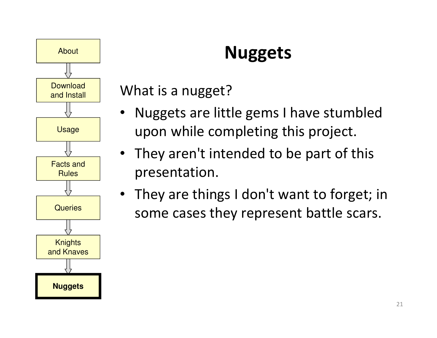

# Nuggets

What is a nugget?

- • Nuggets are little gems I have stumbled upon while completing this project.
- They aren't intended to be part of this presentation.
- They are things I don't want to forget; in some cases they represent battle scars.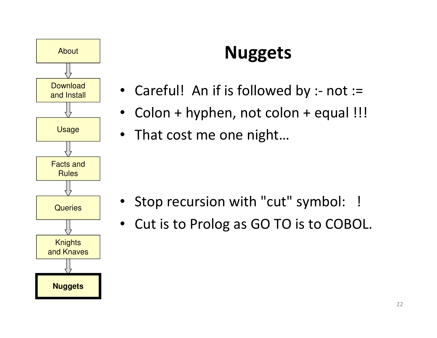

# Nuggets

- Careful! An if is followed by :- not :=
- Colon + hyphen, not colon + equal !!!
- That cost me one night…

- Stop recursion with "cut" symbol: !
- Cut is to Prolog as GO TO is to COBOL.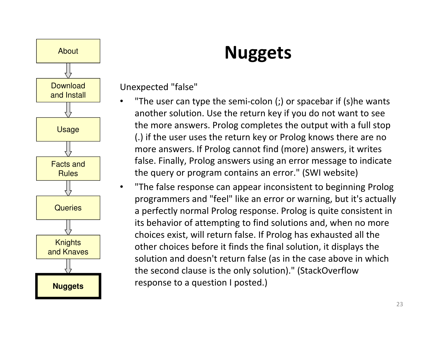

#### Nuggets

Unexpected "false"

•

 $\bullet$ 

- "The user can type the semi-colon (;) or spacebar if (s)he wants another solution. Use the return key if you do not want to see the more answers. Prolog completes the output with a full stop (.) if the user uses the return key or Prolog knows there are no more answers. If Prolog cannot find (more) answers, it writes false. Finally, Prolog answers using an error message to indicate the query or program contains an error." (SWI website)
- "The false response can appear inconsistent to beginning Prolog programmers and "feel" like an error or warning, but it's actually a perfectly normal Prolog response. Prolog is quite consistent in its behavior of attempting to find solutions and, when no more choices exist, will return false. If Prolog has exhausted all the other choices before it finds the final solution, it displays the solution and doesn't return false (as in the case above in which the second clause is the only solution)." (StackOverflow response to a question I posted.)